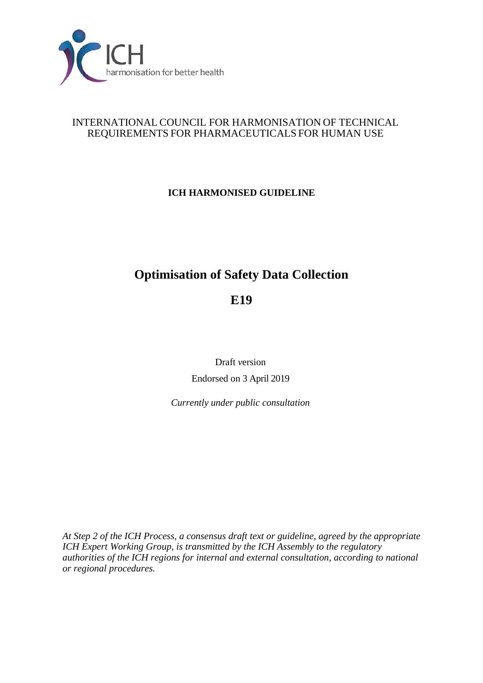

### INTERNATIONAL COUNCIL FOR HARMONISATION OF TECHNICAL REQUIREMENTS FOR PHARMACEUTICALS FOR HUMAN USE

# **ICH HARMONISED GUIDELINE**

# **Optimisation of Safety Data Collection**

**E19**

Draft *v*ersion Endorsed on 3 April 2019

*Currently under public consultation*

*At Step 2 of the ICH Process, a consensus draft text or guideline, agreed by the appropriate ICH Expert Working Group, is transmitted by the ICH Assembly to the regulatory authorities of the ICH regions for internal and external consultation, according to national or regional procedures.*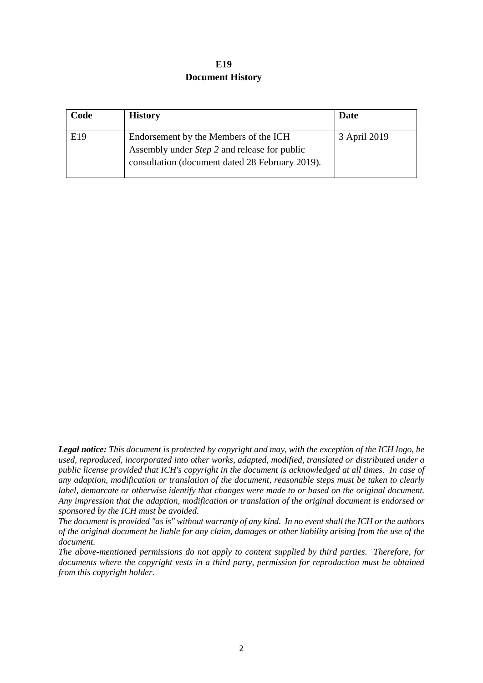| E19                     |
|-------------------------|
| <b>Document History</b> |

| Code | <b>History</b>                                                                                                                                  | Date         |
|------|-------------------------------------------------------------------------------------------------------------------------------------------------|--------------|
| E19  | Endorsement by the Members of the ICH<br>Assembly under <i>Step 2</i> and release for public<br>consultation (document dated 28 February 2019). | 3 April 2019 |

*Legal notice: This document is protected by copyright and may, with the exception of the ICH logo, be used, reproduced, incorporated into other works, adapted, modified, translated or distributed under a public license provided that ICH's copyright in the document is acknowledged at all times. In case of any adaption, modification or translation of the document, reasonable steps must be taken to clearly label, demarcate or otherwise identify that changes were made to or based on the original document. Any impression that the adaption, modification or translation of the original document is endorsed or sponsored by the ICH must be avoided.*

*The document is provided "as is" without warranty of any kind. In no event shall the ICH or the authors of the original document be liable for any claim, damages or other liability arising from the use of the document.*

*The above-mentioned permissions do not apply to content supplied by third parties. Therefore, for documents where the copyright vests in a third party, permission for reproduction must be obtained from this copyright holder.*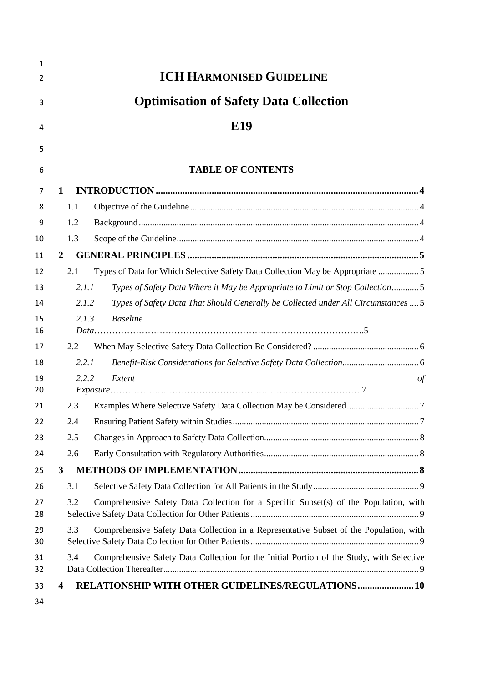| $\mathbf{1}$ |                                                                                                  |
|--------------|--------------------------------------------------------------------------------------------------|
| 2            | <b>ICH HARMONISED GUIDELINE</b>                                                                  |
| 3            | <b>Optimisation of Safety Data Collection</b>                                                    |
| 4            | E19                                                                                              |
| 5            |                                                                                                  |
| 6            | <b>TABLE OF CONTENTS</b>                                                                         |
| 7            | 1                                                                                                |
| 8            | 1.1                                                                                              |
| 9            | 1.2                                                                                              |
| 10           | 1.3                                                                                              |
| 11           | 2                                                                                                |
| 12           | Types of Data for Which Selective Safety Data Collection May be Appropriate 5<br>2.1             |
| 13           | 2.1.1<br>Types of Safety Data Where it May be Appropriate to Limit or Stop Collection5           |
| 14           | Types of Safety Data That Should Generally be Collected under All Circumstances  5<br>2.1.2      |
| 15           | <b>Baseline</b><br>2.1.3                                                                         |
| 16           |                                                                                                  |
| 17           | 2.2                                                                                              |
| 18           | 2.2.1                                                                                            |
| 19<br>20     | 2.2.2<br>Extent<br>$\sigma f$                                                                    |
| 21           | 2.3                                                                                              |
| 22           | 2.4                                                                                              |
| 23           | 2.5                                                                                              |
| 24           | 2.6                                                                                              |
| 25           | 3                                                                                                |
| 26           | 3.1                                                                                              |
| 27           | Comprehensive Safety Data Collection for a Specific Subset(s) of the Population, with<br>3.2     |
| 28           |                                                                                                  |
| 29<br>30     | Comprehensive Safety Data Collection in a Representative Subset of the Population, with<br>3.3   |
| 31           | Comprehensive Safety Data Collection for the Initial Portion of the Study, with Selective<br>3.4 |
| 32           |                                                                                                  |
| 33           | RELATIONSHIP WITH OTHER GUIDELINES/REGULATIONS 10<br>4                                           |
| 34           |                                                                                                  |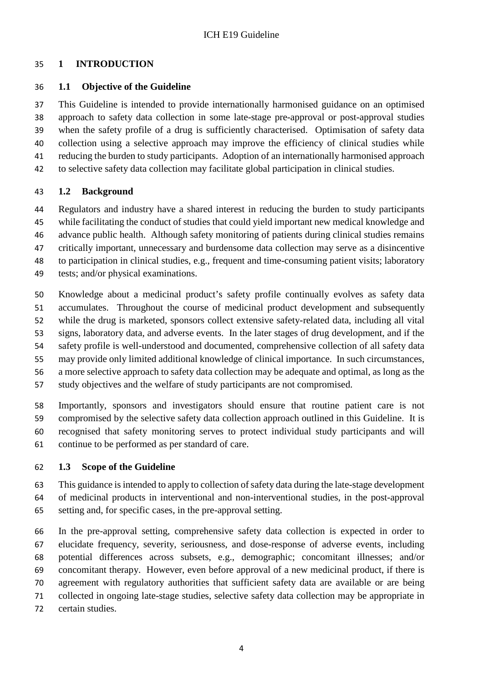## <span id="page-3-0"></span>**1 INTRODUCTION**

# <span id="page-3-1"></span>**1.1 Objective of the Guideline**

 This Guideline is intended to provide internationally harmonised guidance on an optimised approach to safety data collection in some late-stage pre-approval or post-approval studies when the safety profile of a drug is sufficiently characterised. Optimisation of safety data collection using a selective approach may improve the efficiency of clinical studies while reducing the burden to study participants. Adoption of an internationally harmonised approach to selective safety data collection may facilitate global participation in clinical studies.

# <span id="page-3-2"></span>**1.2 Background**

 Regulators and industry have a shared interest in reducing the burden to study participants while facilitating the conduct of studies that could yield important new medical knowledge and advance public health. Although safety monitoring of patients during clinical studies remains critically important, unnecessary and burdensome data collection may serve as a disincentive to participation in clinical studies, e.g., frequent and time-consuming patient visits; laboratory tests; and/or physical examinations.

 Knowledge about a medicinal product's safety profile continually evolves as safety data accumulates. Throughout the course of medicinal product development and subsequently while the drug is marketed, sponsors collect extensive safety-related data, including all vital signs, laboratory data, and adverse events. In the later stages of drug development, and if the safety profile is well-understood and documented, comprehensive collection of all safety data may provide only limited additional knowledge of clinical importance. In such circumstances, a more selective approach to safety data collection may be adequate and optimal, as long as the study objectives and the welfare of study participants are not compromised.

 Importantly, sponsors and investigators should ensure that routine patient care is not compromised by the selective safety data collection approach outlined in this Guideline. It is recognised that safety monitoring serves to protect individual study participants and will continue to be performed as per standard of care.

# <span id="page-3-3"></span>**1.3 Scope of the Guideline**

 This guidance is intended to apply to collection of safety data during the late-stage development of medicinal products in interventional and non-interventional studies, in the post-approval setting and, for specific cases, in the pre-approval setting.

 In the pre-approval setting, comprehensive safety data collection is expected in order to elucidate frequency, severity, seriousness, and dose-response of adverse events, including potential differences across subsets, e.g., demographic; concomitant illnesses; and/or concomitant therapy. However, even before approval of a new medicinal product, if there is agreement with regulatory authorities that sufficient safety data are available or are being collected in ongoing late-stage studies, selective safety data collection may be appropriate in certain studies.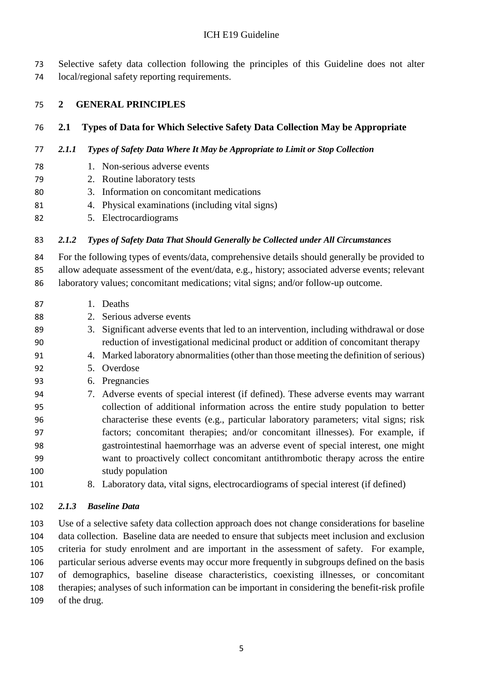Selective safety data collection following the principles of this Guideline does not alter local/regional safety reporting requirements.

#### <span id="page-4-0"></span>**2 GENERAL PRINCIPLES**

#### <span id="page-4-1"></span>**2.1 Types of Data for Which Selective Safety Data Collection May be Appropriate**

#### <span id="page-4-2"></span>*2.1.1 Types of Safety Data Where It May be Appropriate to Limit or Stop Collection*

- 1. Non-serious adverse events
- 2. Routine laboratory tests
- 3. Information on concomitant medications
- 4. Physical examinations (including vital signs)
- 5. Electrocardiograms

#### <span id="page-4-3"></span>*2.1.2 Types of Safety Data That Should Generally be Collected under All Circumstances*

 For the following types of events/data, comprehensive details should generally be provided to allow adequate assessment of the event/data, e.g., history; associated adverse events; relevant laboratory values; concomitant medications; vital signs; and/or follow-up outcome.

- 1. Deaths
- 2. Serious adverse events
- 3. Significant adverse events that led to an intervention, including withdrawal or dose reduction of investigational medicinal product or addition of concomitant therapy
- 4. Marked laboratory abnormalities (other than those meeting the definition of serious)
- 5. Overdose
- 6. Pregnancies
- 7. Adverse events of special interest (if defined). These adverse events may warrant collection of additional information across the entire study population to better characterise these events (e.g., particular laboratory parameters; vital signs; risk factors; concomitant therapies; and/or concomitant illnesses). For example, if gastrointestinal haemorrhage was an adverse event of special interest, one might want to proactively collect concomitant antithrombotic therapy across the entire study population
- 8. Laboratory data, vital signs, electrocardiograms of special interest (if defined)

#### <span id="page-4-4"></span>*2.1.3 Baseline Data*

 Use of a selective safety data collection approach does not change considerations for baseline data collection. Baseline data are needed to ensure that subjects meet inclusion and exclusion criteria for study enrolment and are important in the assessment of safety. For example, particular serious adverse events may occur more frequently in subgroups defined on the basis of demographics, baseline disease characteristics, coexisting illnesses, or concomitant therapies; analyses of such information can be important in considering the benefit-risk profile of the drug.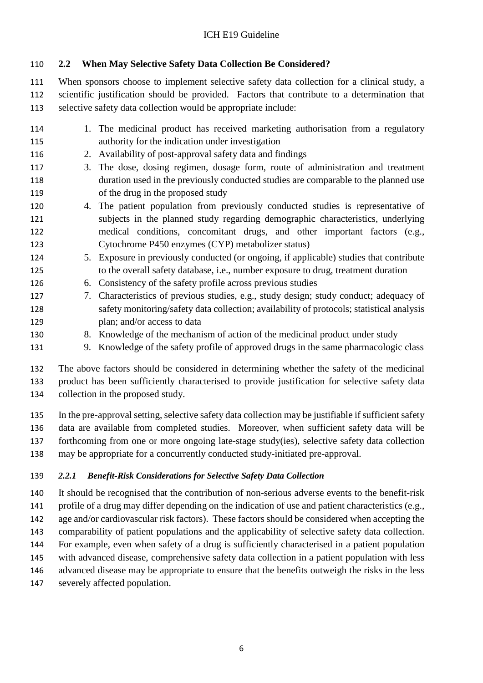# <span id="page-5-0"></span>**2.2 When May Selective Safety Data Collection Be Considered?**

 When sponsors choose to implement selective safety data collection for a clinical study, a scientific justification should be provided. Factors that contribute to a determination that selective safety data collection would be appropriate include:

- 1. The medicinal product has received marketing authorisation from a regulatory authority for the indication under investigation 2. Availability of post-approval safety data and findings 3. The dose, dosing regimen, dosage form, route of administration and treatment duration used in the previously conducted studies are comparable to the planned use 119 of the drug in the proposed study 4. The patient population from previously conducted studies is representative of subjects in the planned study regarding demographic characteristics, underlying medical conditions, concomitant drugs, and other important factors (e.g., Cytochrome P450 enzymes (CYP) metabolizer status) 5. Exposure in previously conducted (or ongoing, if applicable) studies that contribute to the overall safety database, i.e., number exposure to drug, treatment duration 6. Consistency of the safety profile across previous studies 7. Characteristics of previous studies, e.g., study design; study conduct; adequacy of safety monitoring/safety data collection; availability of protocols; statistical analysis plan; and/or access to data
- 8. Knowledge of the mechanism of action of the medicinal product under study
- 9. Knowledge of the safety profile of approved drugs in the same pharmacologic class

 The above factors should be considered in determining whether the safety of the medicinal product has been sufficiently characterised to provide justification for selective safety data collection in the proposed study.

 In the pre-approval setting, selective safety data collection may be justifiable if sufficient safety data are available from completed studies. Moreover, when sufficient safety data will be forthcoming from one or more ongoing late-stage study(ies), selective safety data collection may be appropriate for a concurrently conducted study-initiated pre-approval.

#### <span id="page-5-1"></span>*2.2.1 Benefit-Risk Considerations for Selective Safety Data Collection*

 It should be recognised that the contribution of non-serious adverse events to the benefit-risk profile of a drug may differ depending on the indication of use and patient characteristics (e.g., age and/or cardiovascular risk factors). These factors should be considered when accepting the comparability of patient populations and the applicability of selective safety data collection. For example, even when safety of a drug is sufficiently characterised in a patient population with advanced disease, comprehensive safety data collection in a patient population with less advanced disease may be appropriate to ensure that the benefits outweigh the risks in the less severely affected population.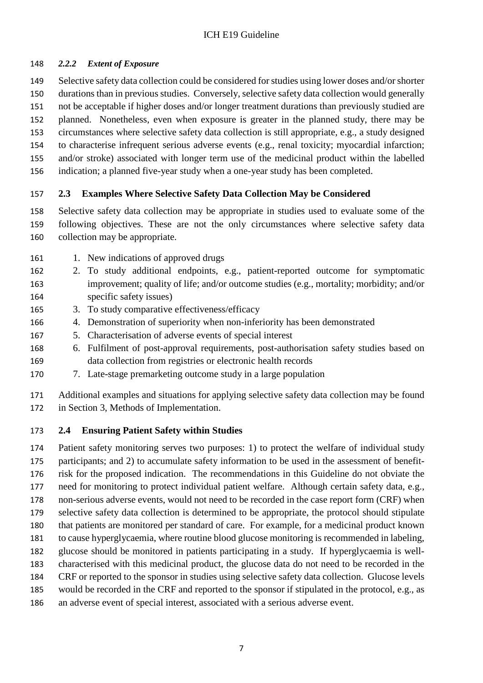#### <span id="page-6-0"></span>*2.2.2 Extent of Exposure*

 Selective safety data collection could be considered for studies using lower doses and/or shorter durations than in previous studies. Conversely, selective safety data collection would generally not be acceptable if higher doses and/or longer treatment durations than previously studied are planned. Nonetheless, even when exposure is greater in the planned study, there may be circumstances where selective safety data collection is still appropriate, e.g., a study designed to characterise infrequent serious adverse events (e.g., renal toxicity; myocardial infarction; and/or stroke) associated with longer term use of the medicinal product within the labelled indication; a planned five-year study when a one-year study has been completed.

## <span id="page-6-1"></span>**2.3 Examples Where Selective Safety Data Collection May be Considered**

 Selective safety data collection may be appropriate in studies used to evaluate some of the following objectives. These are not the only circumstances where selective safety data collection may be appropriate.

- 161 1. New indications of approved drugs
- 2. To study additional endpoints, e.g., patient-reported outcome for symptomatic improvement; quality of life; and/or outcome studies (e.g., mortality; morbidity; and/or specific safety issues)
- 3. To study comparative effectiveness/efficacy
- 4. Demonstration of superiority when non-inferiority has been demonstrated
- 5. Characterisation of adverse events of special interest
- 6. Fulfilment of post-approval requirements, post-authorisation safety studies based on data collection from registries or electronic health records
- 7. Late-stage premarketing outcome study in a large population

 Additional examples and situations for applying selective safety data collection may be found in Section 3, Methods of Implementation.

## <span id="page-6-2"></span>**2.4 Ensuring Patient Safety within Studies**

 Patient safety monitoring serves two purposes: 1) to protect the welfare of individual study participants; and 2) to accumulate safety information to be used in the assessment of benefit- risk for the proposed indication. The recommendations in this Guideline do not obviate the need for monitoring to protect individual patient welfare. Although certain safety data, e.g., non-serious adverse events, would not need to be recorded in the case report form (CRF) when selective safety data collection is determined to be appropriate, the protocol should stipulate that patients are monitored per standard of care. For example, for a medicinal product known to cause hyperglycaemia, where routine blood glucose monitoring is recommended in labeling, glucose should be monitored in patients participating in a study. If hyperglycaemia is well- characterised with this medicinal product, the glucose data do not need to be recorded in the CRF or reported to the sponsor in studies using selective safety data collection. Glucose levels would be recorded in the CRF and reported to the sponsor if stipulated in the protocol, e.g., as an adverse event of special interest, associated with a serious adverse event.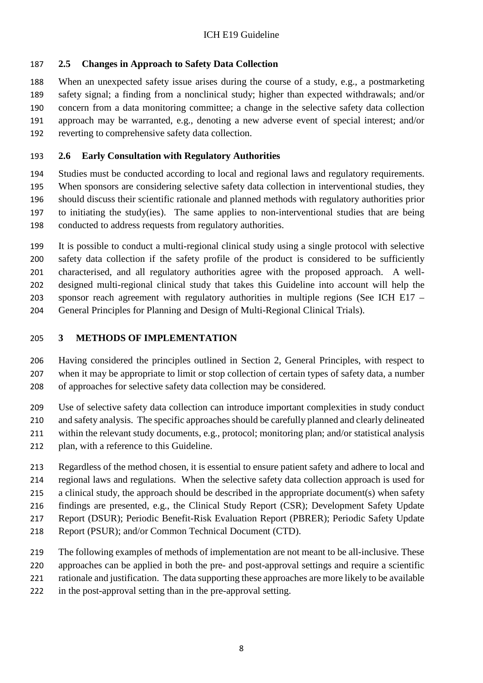# <span id="page-7-0"></span>**2.5 Changes in Approach to Safety Data Collection**

 When an unexpected safety issue arises during the course of a study, e.g., a postmarketing safety signal; a finding from a nonclinical study; higher than expected withdrawals; and/or concern from a data monitoring committee; a change in the selective safety data collection approach may be warranted, e.g., denoting a new adverse event of special interest; and/or reverting to comprehensive safety data collection.

## <span id="page-7-1"></span>**2.6 Early Consultation with Regulatory Authorities**

 Studies must be conducted according to local and regional laws and regulatory requirements. When sponsors are considering selective safety data collection in interventional studies, they should discuss their scientific rationale and planned methods with regulatory authorities prior to initiating the study(ies). The same applies to non-interventional studies that are being conducted to address requests from regulatory authorities.

 It is possible to conduct a multi-regional clinical study using a single protocol with selective safety data collection if the safety profile of the product is considered to be sufficiently characterised, and all regulatory authorities agree with the proposed approach. A well- designed multi-regional clinical study that takes this Guideline into account will help the sponsor reach agreement with regulatory authorities in multiple regions (See ICH E17 – General Principles for Planning and Design of Multi-Regional Clinical Trials).

## <span id="page-7-2"></span>**3 METHODS OF IMPLEMENTATION**

 Having considered the principles outlined in Section 2, General Principles, with respect to when it may be appropriate to limit or stop collection of certain types of safety data, a number of approaches for selective safety data collection may be considered.

 Use of selective safety data collection can introduce important complexities in study conduct and safety analysis. The specific approaches should be carefully planned and clearly delineated within the relevant study documents, e.g., protocol; monitoring plan; and/or statistical analysis plan, with a reference to this Guideline.

 Regardless of the method chosen, it is essential to ensure patient safety and adhere to local and regional laws and regulations. When the selective safety data collection approach is used for 215 a clinical study, the approach should be described in the appropriate document(s) when safety findings are presented, e.g., the Clinical Study Report (CSR); Development Safety Update Report (DSUR); Periodic Benefit-Risk Evaluation Report (PBRER); Periodic Safety Update Report (PSUR); and/or Common Technical Document (CTD).

 The following examples of methods of implementation are not meant to be all-inclusive. These approaches can be applied in both the pre- and post-approval settings and require a scientific rationale and justification. The data supporting these approaches are more likely to be available

in the post-approval setting than in the pre-approval setting.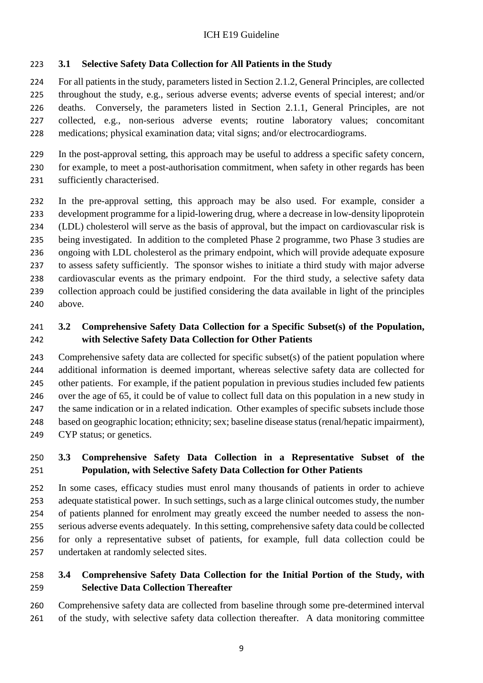# <span id="page-8-0"></span>**3.1 Selective Safety Data Collection for All Patients in the Study**

 For all patients in the study, parameters listed in Section 2.1.2, General Principles, are collected throughout the study, e.g., serious adverse events; adverse events of special interest; and/or deaths. Conversely, the parameters listed in Section 2.1.1, General Principles, are not collected, e.g., non-serious adverse events; routine laboratory values; concomitant medications; physical examination data; vital signs; and/or electrocardiograms.

 In the post-approval setting, this approach may be useful to address a specific safety concern, for example, to meet a post-authorisation commitment, when safety in other regards has been sufficiently characterised.

 In the pre-approval setting, this approach may be also used. For example, consider a development programme for a lipid-lowering drug, where a decrease in low-density lipoprotein (LDL) cholesterol will serve as the basis of approval, but the impact on cardiovascular risk is being investigated. In addition to the completed Phase 2 programme, two Phase 3 studies are ongoing with LDL cholesterol as the primary endpoint, which will provide adequate exposure to assess safety sufficiently. The sponsor wishes to initiate a third study with major adverse cardiovascular events as the primary endpoint. For the third study, a selective safety data collection approach could be justified considering the data available in light of the principles above.

# <span id="page-8-1"></span> **3.2 Comprehensive Safety Data Collection for a Specific Subset(s) of the Population, with Selective Safety Data Collection for Other Patients**

 Comprehensive safety data are collected for specific subset(s) of the patient population where additional information is deemed important, whereas selective safety data are collected for other patients. For example, if the patient population in previous studies included few patients over the age of 65, it could be of value to collect full data on this population in a new study in 247 the same indication or in a related indication. Other examples of specific subsets include those based on geographic location; ethnicity; sex; baseline disease status (renal/hepatic impairment), CYP status; or genetics.

# <span id="page-8-2"></span> **3.3 Comprehensive Safety Data Collection in a Representative Subset of the Population, with Selective Safety Data Collection for Other Patients**

 In some cases, efficacy studies must enrol many thousands of patients in order to achieve adequate statistical power. In such settings, such as a large clinical outcomes study, the number of patients planned for enrolment may greatly exceed the number needed to assess the non- serious adverse events adequately. In this setting, comprehensive safety data could be collected for only a representative subset of patients, for example, full data collection could be undertaken at randomly selected sites.

# <span id="page-8-3"></span> **3.4 Comprehensive Safety Data Collection for the Initial Portion of the Study, with Selective Data Collection Thereafter**

 Comprehensive safety data are collected from baseline through some pre-determined interval of the study, with selective safety data collection thereafter. A data monitoring committee